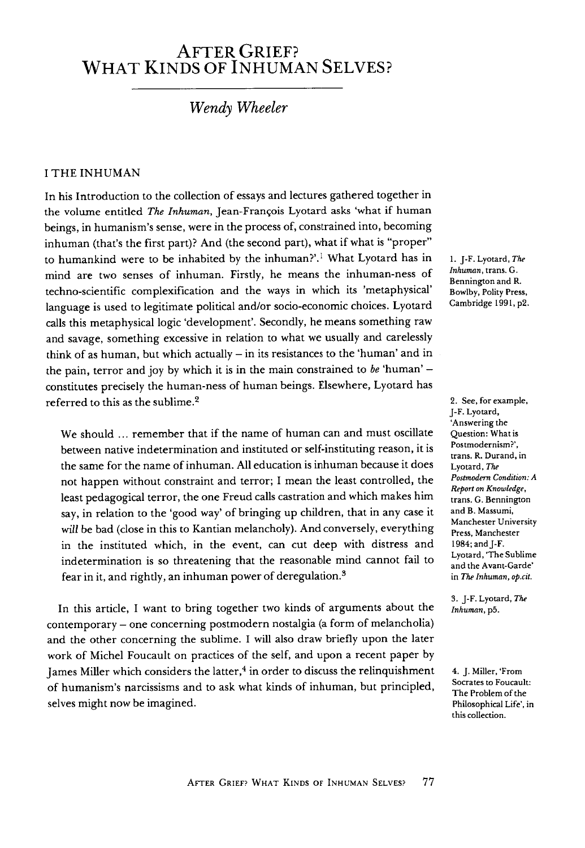# AFTER GRIEF? WHAT KINDS OF INHUMAN SELVES?

**Wendy Wheeler**

### <sup>I</sup> THE INHUMAN

In his Introduction to the collection of essays and lectures gathered together in the volume entitled **The Inhuman,** Jean-Francois Lyotard asks 'what if human beings, in humanism's sense, were in the process of, constrained into, becoming inhuman (that's the first part)? And (the second part), what if what is "proper" to humankind were to be inhabited by the inhuman?'.1 What Lyotard has in mind are two senses of inhuman. Firstly, he means the inhuman-ness of techno-scientific complexification and the ways in which its 'metaphysical' language is used to legitimate political and/or socio-economic choices. Lyotard calls this metaphysical logic'development'. Secondly, he means something raw and savage, something excessive in relation to what we usually and carelessly think of as human, but which actually  $-$  in its resistances to the 'human' and in the pain, terror and joy by which it is in the main constrained to **be** 'human' constitutes precisely the human-nessof human beings. Elsewhere, Lyotard has referred to this as the sublime.2

We should ... remember that if the name of human can and must oscillate between native indetermination and instituted or self-instituting reason, it is the same for the name of inhuman. All education is inhuman because it does not happen without constraint and terror; I mean the least controlled, the least pedagogical terror, the one Freud calls castration and which makes him say, in relation to the 'good way' of bringing up children, that in any case it will be bad (close in this to Kantian melancholy). And conversely, everything in the instituted which, in the event, can cut deep with distress and indetermination is so threatening that the reasonable mind cannot fail to fear in it, and rightly, an inhuman power of deregulation.<sup>3</sup>

In this article, I want to bring together two kinds of arguments about the contemporary- one concerning postmodern nostalgia (a form of melancholia) and the other concerning the sublime. I will also draw briefly upon the later work of Michel Foucault on practices of the self, and upon a recent paper by James Miller which considers the latter, $4$  in order to discuss the relinquishment of humanism's narcissisms and to ask what kinds of inhuman, but principled, selves might now be imagined.

1. J-F. Lyotard, **The Inhuman,** trans. G. Bennington and R. Bowlby, Polity Press, Cambridge 1991, p2.

2. See, for example, J-F. Lyotard, 'Answering the Question: What is Postmodernism?', trans. R. Durand, in Lyotard, **The Postmodern Condition: A Report** on Knowledge, trans. G. Bennington and B. Massumi, Manchester University Press, Manchester 1984; and J-F. Lyotard, 'The Sublime and the Avant-Garde' in The Inhuman, op.cit.

3. J-F. Lyotard, **The Inhuman,**p5.

4. J. Miller, 'From Socrates to Foucault: The Problem of the Philosophical Life', in this collection.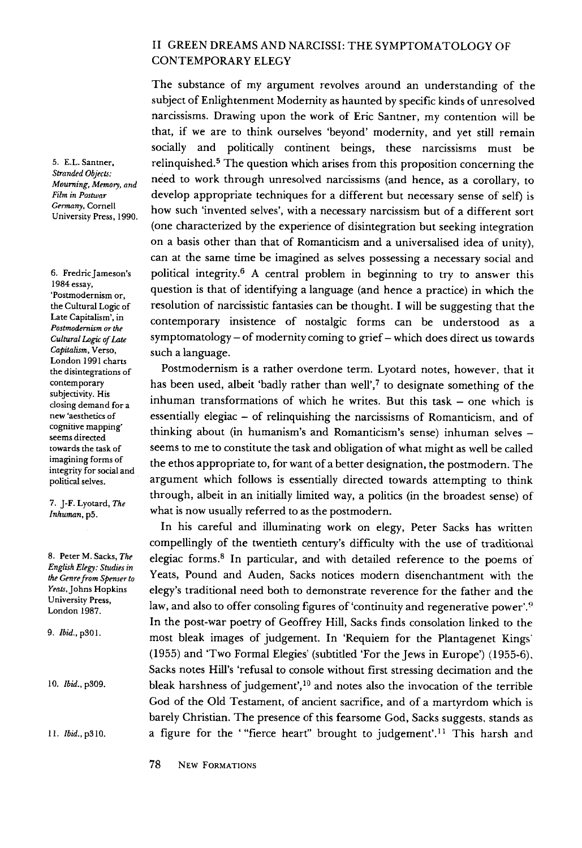# II GREEN DREAMS AND NARCISSI: THE SYMPTOMATOLOGY OF CONTEMPORARY ELEGY

The substance of my argument revolves around an understanding of the subject of Enlightenment Modernity as haunted by specific kinds of unresolved narcissisms. Drawing upon the work of Eric Santner, my contention will be that, if we are to think ourselves 'beyond' modernity, and yet still remain socially and politically continent beings, these narcissisms must be relinquished.<sup>5</sup> The question which arises from this proposition concerning the need to work through unresolved narcissisms (and hence, as a corollary, to develop appropriate techniques for a different but necessary sense of self) is how such 'invented selves', with a necessary narcissism but of a different sort (one characterized by the experience of disintegration but seeking integration on a basis other than that of Romanticism and a universalised idea of unity), can at the same time be imagined as selves possessing a necessary social and political integrity.6 A central problem in beginning to try to answer this question is that of identifying a language (and hence a practice) in which the resolution of narcissistic fantasies can be thought. I will be suggesting that the contemporary insistence of nostalgic forms can be understood as a symptomatology - of modernity coming to grief- which does direct us towards such a language.

Postmodernism is a rather overdone term. Lyotard notes, however, that it has been used, albeit 'badly rather than well',<sup>7</sup> to designate something of the inhuman transformations of which he writes. But this task  $-$  one which is essentially elegiac - of relinquishing the narcissisms of Romanticism, and of thinking about (in humanism's and Romanticism's sense) inhuman selves seems to me to constitute the task and obligation of what might as well be called the ethos appropriate to, for want of a better designation, the postmodern. The argument which follows is essentially directed towards attempting to think through, albeit in an initially limited way, a politics (in the broadest sense) of what is now usually referred to as the postmodern.

In his careful and illuminating work on elegy, Peter Sacks has written compellingly of the twentieth century's difficulty with the use of traditional elegiac forms.8 In particular, and with detailed reference to the poems of Yeats, Pound and Auden, Sacks notices modern disenchantment with the elegy's traditional need both to demonstrate reverence for the father and the law, and also to offer consoling figures of 'continuity and regenerative power'.<sup>9</sup> In the post-war poetry of Geoffrey Hill, Sacks finds consolation linked to the most bleak images of judgement. In 'Requiem for the Plantagenet Kings' (1955) and 'Two Formal Elegies' (subtitled 'For the Jews in Europe') (1955-6), Sacks notes Hill's 'refusal to console without first stressing decimation and the bleak harshness of judgement',<sup>10</sup> and notes also the invocation of the terrible God of the Old Testament, of ancient sacrifice, and of a martyrdom which is barely Christian. The presence of this fearsome God, Sacks suggests, stands as a figure for the '"fierce heart" brought to judgement'.11 This harsh and

5. E.L. Santner, **Stranded Objects: Mourning, Memory, and Film in Postwar Germany,** Cornell University Press, 1990.

6. Fredric Jameson's 1984 essay, 'Postmodernism or, the Cultural Logic of Late Capitalism', in **Postmodernism or the Cultural Logic ofLate Capitalism,** Verso, London 1991 charts the disintegrations of contemporary subjectivity. His closing demand for a new 'aesthetics of cognitive mapping' seems directed towards the task of imagining forms of integrity for social and political selves.

7. J-F. Lyotard, **The Inhuman,** p5.

8. Peter M. Sacks, **The English Elegy:Studies in the GenrefromSpenser to Yeats,**Johns Hopkins University Press, London 1987.

9. **Ibid.,pS0l.**

10. **Ibid.,pS09.**

11. **Ibid.,** p310.

78 New Formations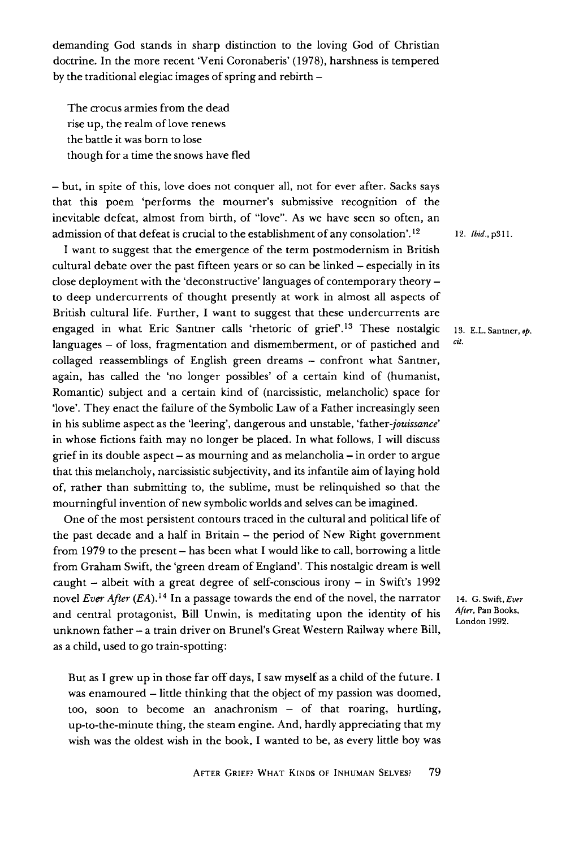demanding God stands in sharp distinction to the loving God of Christian doctrine. In the more recent 'Veni Coronaberis' (1978), harshness is tempered by the traditional elegiac images of spring and rebirth  $-$ 

The crocus armies from the dead rise up, the realm of love renews the battle it was born to lose though for a time the snows have fled

- but, in spite of this, love does not conquer all, not for ever after. Sacks says that this poem 'performs the mourner's submissive recognition of the inevitable defeat, almost from birth, of "love". As we have seen so often, an admission of that defeat is crucial to the establishment of any consolation'.12

I want to suggest that the emergence of the term postmodernism in British cultural debate over the past fifteen years or so can be linked  $-$  especially in its close deployment with the 'deconstructive' languages of contemporary theory to deep undercurrents of thought presently at work in almost all aspects of British cultural life. Further, I want to suggest that these undercurrents are engaged in what Eric Santner calls 'rhetoric of grief<sup>'13</sup> These nostalgic languages - of loss, fragmentation and dismemberment, or of pastiched and collaged reassemblings of English green dreams - confront what Santner, again, has called the 'no longer possibles' of a certain kind of (humanist, Romantic) subject and a certain kind of (narcissistic, melancholic) space for 'love'. They enact the failure of the Symbolic Law of a Father increasingly seen in his sublime aspect as the 'leering', dangerous and unstable, **'father-jouissance'** in whose fictions faith may no longer be placed. In what follows, I will discuss grief in its double aspect  $-$  as mourning and as melancholia  $-$  in order to argue that this melancholy, narcissistic subjectivity, and itsinfantile aim of laying hold of, rather than submitting to, the sublime, must be relinquished so that the mourningful invention of new symbolic worlds and selvescan be imagined.

One of the most persistent contours traced in the cultural and political life of the past decade and a half in Britain - the period of New Right government from 1979 to the present  $-$  has been what I would like to call, borrowing a little from Graham Swift, the 'green dream of England'. This nostalgic dream is well caught  $-$  albeit with a great degree of self-conscious irony  $-$  in Swift's 1992 novel **Ever After (EA).14** In a passage towards the end of the novel, the narrator and central protagonist, Bill Unwin, is meditating upon the identity of his unknown father - a train driver on Brunei's Great Western Railway where Bill, as a child, used to go train-spotting:

But as I grew up in those far off days, I saw myself as a child of the future. I was enamoured - little thinking that the object of my passion was doomed, too, soon to become an anachronism - of that roaring, hurtling, up-to-the-minute thing, the steam engine. And, hardly appreciating that my wish was the oldest wish in the book, I wanted to be, as every little boy was

12. *Ibid.*, p311.

13. E.L. Santner, **op.** *cit.*

14. G. Swift, **Ever After,** Pan Books, London 1992.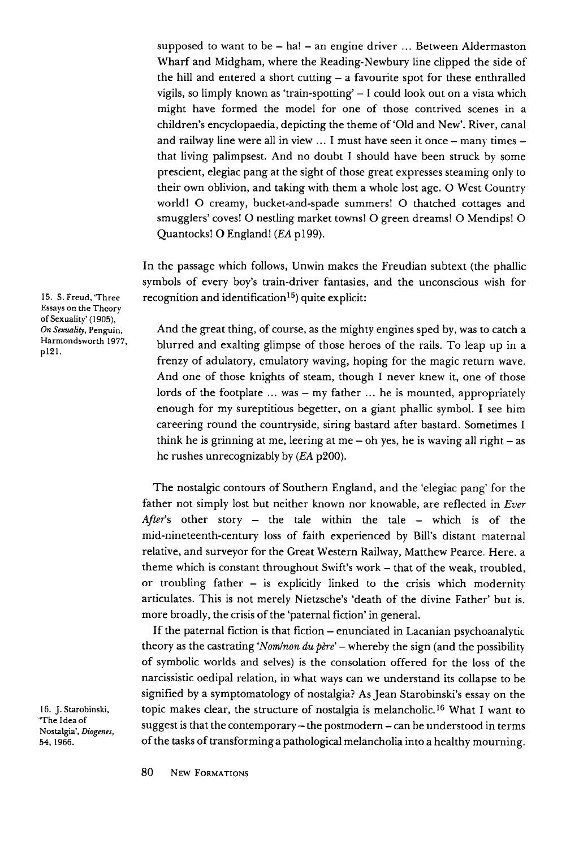supposed to want to be  $-$  ha!  $-$  an engine driver ... Between Aldermaston Wharf and Midgham, where the Reading-Newbury line clipped the side of the hill and entered a short cutting  $-$  a favourite spot for these enthralled vigils, so limply known as 'train-spotting' - I could look out on a vista which might have formed the model for one of those contrived scenes in a children's encyclopaedia, depicting the theme of'Old and New'. River, canal and railway line were all in view  $\dots$  I must have seen it once  $-$  many times  $$ that living palimpsest. And no doubt I should have been struck by some prescient, elegiac pang at the sight of those great expresses steaming only to their own oblivion, and taking with them a whole lost age. O West Country world! O creamy, bucket-and-spade summers! O thatched cottages and smugglers' coves! O nestling market towns! O green dreams! O Mendips! O Quantocks! O England! **{EA** pl99).

In the passage which follows, Unwin makes the Freudian subtext (the phallic symbols of every boy's train-driver fantasies, and the unconscious wish for recognition and identification<sup>15</sup>) quite explicit:

And the great thing, of course, as the mighty engines sped by, was to catch a blurred and exalting glimpse of those heroes of the rails. To leap up in a frenzy of adulatory, emulatory waving, hoping for the magic return wave. And one of those knights of steam, though I never knew it, one of those lords of the footplate  $\dots$  was  $-$  my father  $\dots$  he is mounted, appropriately enough for my sureptitious begetter, on a giant phallic symbol. I see him careering round the countryside, siring bastard after bastard. Sometimes I think he is grinning at me, leering at me  $-$  oh yes, he is waving all right  $-$  as he rushes unrecognizably by **(EA** p200).

The nostalgic contours of Southern England, and the 'elegiac pang' for the father not simply lost but neither known nor knowable, are reflected in **Ever After's** other story - the tale within the tale - which is of the mid-nineteenth-century loss of faith experienced by Bill's distant maternal relative, and surveyor for the Great Western Railway, Matthew Pearce. Here, a theme which is constant throughout Swift's work - that of the weak, troubled, or troubling father - is explicitly linked to the crisis which modernity articulates. This is not merely Nietzsche's 'death of the divine Father' but is, more broadly, the crisisof the 'paternal fiction' in general.

If the paternal fiction is that fiction - enunciated in Lacanian psychoanalytic theory as the castrating 'Nom/non du père' – whereby the sign (and the possibility of symbolic worlds and selves) is the consolation offered for the loss of the narcissistic oedipal relation, in what ways can we understand its collapse to be signified by a symptomatology of nostalgia? As Jean Starobinski's essay on the topic makes clear, the structure of nostalgia is melancholic.16 What I want to suggest is that the contemporary - the postmodern - can be understood in terms of the tasksof transforminga pathological melancholiainto a healthy mourning.

*15. S. Freud,'Three Essayson the Theory ofSexuality'(1905), OnSexuality, Penguin, Harmondsworth 1977, pl21.*

*16. J. Starobinski, 'The Idea of Nostalgia', Diogenes, 54,1966.*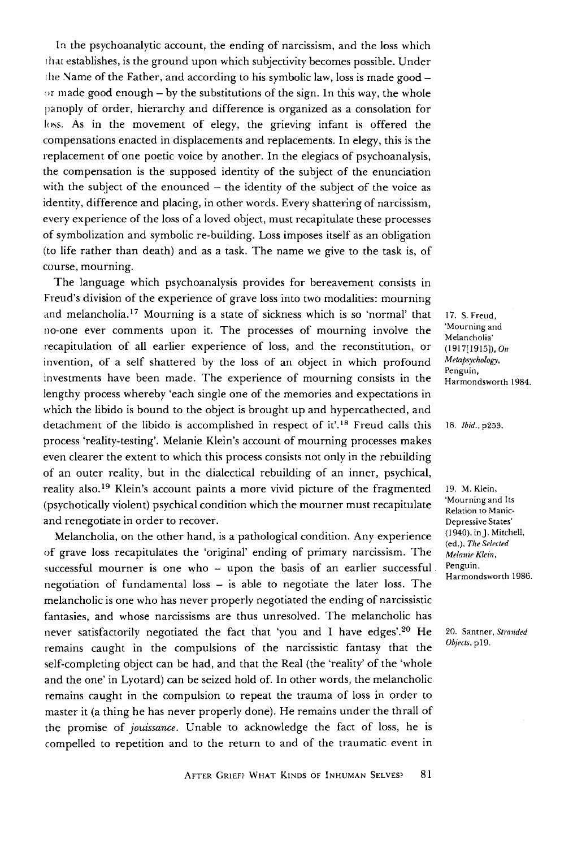In the psychoanalytic account, the ending of narcissism, and the loss which ihat establishes, is the ground upon which subjectivity becomes possible. Under the Name of the Father, and according to his symbolic law, loss is made good  $\circ$ r made good enough – by the substitutions of the sign. In this way, the whole panoply of order, hierarchy and difference is organized as a consolation for loss. As in the movement of elegy, the grieving infant is offered the compensations enacted in displacements and replacements. In elegy, this is the replacement of one poetic voice by another. In the elegiacs of psychoanalysis, the compensation is the supposed identity of the subject of the enunciation with the subject of the enounced  $-$  the identity of the subject of the voice as identity, difference and placing, in other words. Every shattering of narcissism, every experience of the loss of a loved object, must recapitulate these processes of symbolization and symbolic re-building. Loss imposes itself as an obligation (to life rather than death) and as a task. The name we give to the task is, of course, mourning.

The language which psychoanalysis provides for bereavement consists in Freud's division of the experience of grave loss into two modalities: mourning and melancholia.17 Mourning is a state of sickness which is so 'normal' that no-one ever comments upon it. The processes of mourning involve the recapitulation of all earlier experience of loss, and the reconstitution, or invention, of a self shattered by the loss of an object in which profound investments have been made. The experience of mourning consists in the lengthy process whereby 'each single one of the memories and expectations in which the libido is bound to the object is brought up and hypercathected, and detachment of the libido is accomplished in respect of it'.18 Freud calls this process 'reality-testing'. Melanie Klein's account of mourning processes makes even clearer the extent to which this process consists not only in the rebuilding of an outer reality, but in the dialectical rebuilding of an inner, psychical, reality also.19 Klein's account paints a more vivid picture of the fragmented (psychotically violent) psychical condition which the mourner must recapitulate and renegotiate in order to recover.

Melancholia, on the other hand, is a pathological condition. Any experience of grave loss recapitulates the 'original' ending of primary narcissism. The successful mourner is one who - upon the basis of an earlier successful negotiation of fundamental loss - is able to negotiate the later loss. The melancholic is one who has never properly negotiated the ending of narcissistic fantasies, and whose narcissisms are thus unresolved. The melancholic has never satisfactorily negotiated the fact that 'you and I have edges'.20 He remains caught in the compulsions of the narcissistic fantasy that the self-completing object can be had, and that the Real (the 'reality' of the 'whole and the one' in Lyotard) can be seized hold of. In other words, the melancholic remains caught in the compulsion to repeat the trauma of loss in order to master it (a thing he has never properly done). He remains under the thrall of the promise of **puissance.** Unable to acknowledge the fact of loss, he is compelled to repetition and to the return to and of the traumatic event in

17. S.Freud, 'Mourning and Melancholia'  $(1917[1915]), On$ **Metapsychology,** Penguin, Harmondsworth 1984.

18. **Ibid.,**p253.

19. M.Klein, 'Mourning and Its Relation to Manic-Depressive States' (1940), in J. Mitchell, (ed.), **The Selected Melanie Klein,** Penguin, Harmondsworth 1986.

20. Santner, **Stranded Objects,** pi9.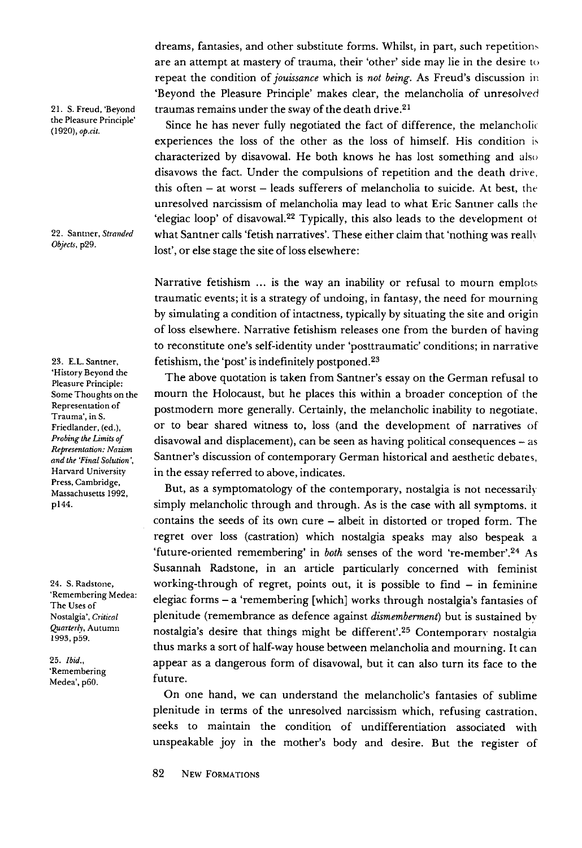21. S. Freud, 'Beyond the Pleasure Principle' **(1920), op.cit.**

22. Santner, **Stranded Objects,** p29.

23. E.L. Santner, 'History Beyond the Pleasure Principle: Some Thoughts on the Representation of Trauma', in S. Friedlander, (ed.), **Probing the Limits of Representation: Nazism and the 'Final Solution',** Harvard University Press, Cambridge, Massachusetts 1992, pl44.

24. S. Radstone, 'Remembering Medea: The Uses of Nostalgia', **Critical Quarterly,** Autumn 1993, p59.

25. **Ibid,,** 'Remembering Medea', p60.

dreams, fantasies, and other substitute forms. Whilst, in part, such repetitions are an attempt at mastery of trauma, their 'other' side may lie in the desire to repeat the condition of *jouissance* which is *not being*. As Freud's discussion in 'Beyond the Pleasure Principle' makes clear, the melancholia of unresolved traumas remains under the sway of the death drive.<sup>21</sup>

Since he has never fully negotiated the fact of difference, the melancholic experiences the loss of the other as the loss of himself. His condition is characterized by disavowal. He both knows he has lost something and also disavows the fact. Under the compulsions of repetition and the death drive, this often - at worst - leads sufferers of melancholia to suicide. At best, the unresolved narcissism of melancholia may lead to what Eric Santner calls the 'elegiac loop' of disavowal.22 Typically, this also leads to the development of what Santner calls 'fetish narratives'. These either claim that 'nothing was really lost', or else stage the site of loss elsewhere:

Narrative fetishism ... is the way an inability or refusal to mourn emplots traumatic events; it is a strategy of undoing, in fantasy, the need for mourning by simulating a condition of intactness, typically by situating the site and origin of loss elsewhere. Narrative fetishism releases one from the burden of having to reconstitute one's self-identity under 'posttraumatic' conditions; in narrative fetishism, the 'post' is indefinitely postponed.<sup>23</sup>

The above quotation is taken from Santner's essay on the German refusal to mourn the Holocaust, but he places this within a broader conception of the postmodern more generally. Certainly, the melancholic inability to negotiate, or to bear shared witness to, loss (and the development of narratives of disavowal and displacement), can be seen as having political consequences  $-$  as Santner's discussion of contemporary German historical and aesthetic debates, in the essay referred to above, indicates.

But, as a symptomatology of the contemporary, nostalgia is not necessarily simply melancholic through and through. As is the case with all symptoms, it contains the seeds of its own cure - albeit in distorted or troped form. The regret over loss (castration) which nostalgia speaks may also bespeak a 'future-oriented remembering' in **both** senses of the word 're-member'.24 As Susannah Radstone, in an article particularly concerned with feminist working-through of regret, points out, it is possible to find  $-$  in feminine elegiac forms  $- a$  'remembering [which] works through nostalgia's fantasies of plenitude (remembrance as defence against **dismemberment)** but is sustained by nostalgia's desire that things might be different'.25 Contemporary nostalgia thus marks a sort of half-way house between melancholia and mourning. It can appear as a dangerous form of disavowal, but it can also turn its face to the future.

On one hand, we can understand the melancholic's fantasies of sublime plenitude in terms of the unresolved narcissism which, refusing castration, seeks to maintain the condition of undifferentiation associated with unspeakable joy in the mother's body and desire. But the register of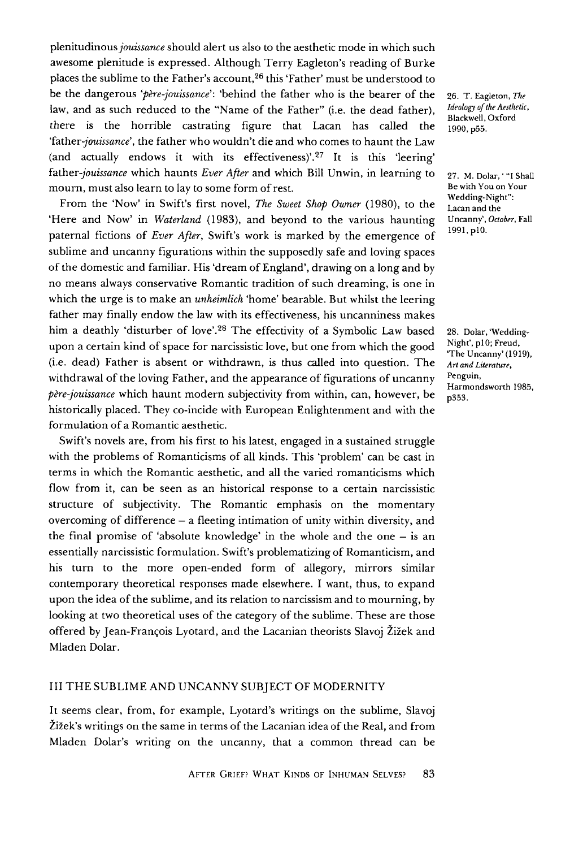plenitudinous jouissance should alert us also to the aesthetic mode in which such awesome plenitude is expressed. Although Terry Eagleton's reading of Burke places the sublime to the Father's account,<sup>26</sup> this 'Father' must be understood to be the dangerous 'père-jouissance': 'behind the father who is the bearer of the law, and as such reduced to the "Name of the Father" (i.e. the dead father), there is the horrible castrating figure that Lacan has called the **'father-puissance',** the father who wouldn't die and who comes to haunt the Law (and actually endows it with its effectiveness)'.27 It is this 'leering' **father-puissance** which haunts **Ever After** and which Bill Unwin, in learning to mourn, must also learn to lay to some form of rest.

From the 'Now' in Swift's first novel, **The Sweet Shop Owner** (1980), to the 'Here and Now' in **Waterland** (1983), and beyond to the various haunting paternal fictions of **Ever After,** Swift's work is marked by the emergence of sublime and uncanny figurations within the supposedly safe and loving spaces of the domestic and familiar. His 'dream of England', drawing on a long and by no means always conservative Romantic tradition of such dreaming, is one in which the urge is to make an **unheimlich** 'home' bearable. But whilst the leering father may finally endow the law with its effectiveness, his uncanniness makes him a deathly 'disturber of love'.<sup>28</sup> The effectivity of a Symbolic Law based upon a certain kind of space for narcissistic love, but one from which the good (i.e. dead) Father is absent or withdrawn, is thus called into question. The withdrawal of the loving Father, and the appearance of figurations of uncanny **pere-jouissance** which haunt modern subjectivity from within, can, however, be historically placed. They co-incide with European Enlightenment and with the formulation of <sup>a</sup> Romantic aesthetic.

Swift's novels are, from his first to his latest, engaged in a sustained struggle with the problems of Romanticisms of all kinds. This 'problem' can be cast in terms in which the Romantic aesthetic, and all the varied romanticisms which flow from it, can be seen as an historical response to a certain narcissistic structure of subjectivity. The Romantic emphasis on the momentary overcoming of difference - a fleeting intimation of unity within diversity, and the final promise of 'absolute knowledge' in the whole and the one  $-$  is an essentially narcissistic formulation. Swift's problematizing of Romanticism, and his turn to the more open-ended form of allegory, mirrors similar contemporary theoretical responses made elsewhere. I want, thus, to expand upon the idea of the sublime, and its relation to narcissism and to mourning, by looking at two theoretical uses of the category of the sublime. These are those offered by Jean-François Lyotard, and the Lacanian theorists Slavoj Žižek and Mladen Dolar.

#### Ill THE SUBLIME AND UNCANNY SUBJECT OF MODERNITY

It seems clear, from, for example, Lyotard's writings on the sublime, Slavoj 2izek's writings on the samein termsof the Lacanian ideaof the Real, and from Mladen Dolar's writing on the uncanny, that a common thread can be 26. T. Eagleton, **The Ideology** of the Aesthetic, Blackwell, Oxford 1990, p55.

27. M. Dolar,' "I Shall Be with You on Your Wedding-Night": Lacan and the Uncanny', **October,** Fall 1991, plO.

28. Dolar,'Wedding-Night', plO; Freud, The Uncanny'(1919), **Art and Literature,** Penguin, Harmondsworth 1985, p353.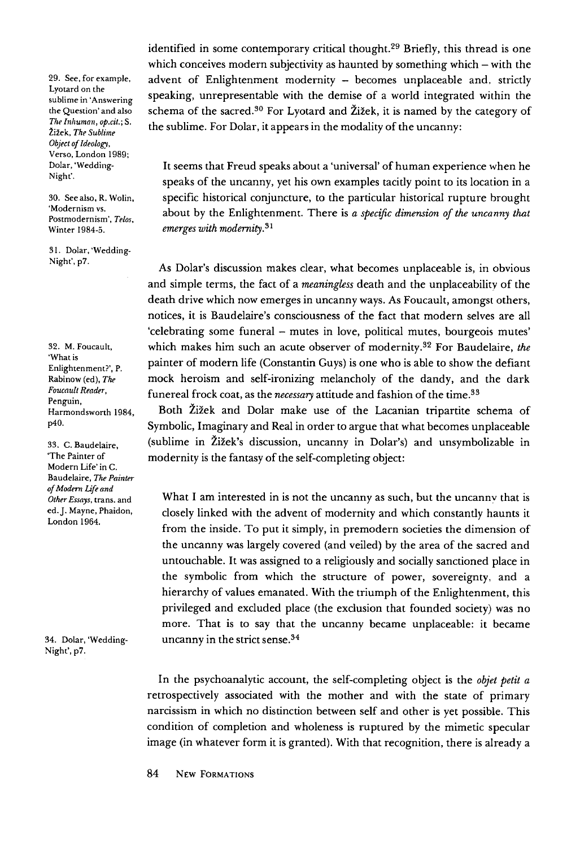29. See, for example, Lyotard on the sublime in 'Answering the Question' and also **TheInhuman, op.cit.',S. liiek, TheSublime Object** of Ideology, Verso, London 1989; Dolar, 'Wedding-Night'.

30. See also, R. Wolin, 'Modernism vs. Postmodernism', **Telos,** Winter 1984-5.

31. Dolar,'Wedding-Night', p7.

32. M. Foucault, 'What is Enlightenment?', P. Rabinow (ed), **The Foucault Reader,** Penguin, Harmondsworth 1984, p40.

33. C.Baudelaire, The Painter of Modern Life' in C. Baudelaire, **The Painter ofModern Lifeand Other Essays,** trans, and ed. J. Mayne, Phaidon, London 1964.

34. Dolar,'Wedding-Night', p7.

identified in some contemporary critical thought.<sup>29</sup> Briefly, this thread is one which conceives modern subjectivity as haunted by something which  $-$  with the advent of Enlightenment modernity - becomes unplaceable and, strictly speaking, unrepresentable with the demise of a world integrated within the schema of the sacred.<sup>30</sup> For Lyotard and Žižek, it is named by the category of the sublime. For Dolar, it appears in the modality of the uncanny:

It seems that Freud speaks about a 'universal' of human experience when he speaks of the uncanny, yet his own examples tacitly point to its location in a specific historical conjuncture, to the particular historical rupture brought about by the Enlightenment. There is **a specific dimension of the uncanny that emerges with modernity.51**

As Dolar's discussion makes clear, what becomes unplaceable is, in obvious and simple terms, the fact of a **meaningless** death and the unplaceability of the death drive which now emerges in uncanny ways. As Foucault, amongst others, notices, it is Baudelaire's consciousness of the fact that modern selves are all 'celebrating some funeral - mutes in love, political mutes, bourgeois mutes' which makes him such an acute observer of modernity.32 For Baudelaire, **the** painter of modern life (Constantin Guys) is one who is able to show the defiant mock heroism and self-ironizing melancholy of the dandy, and the dark funereal frock coat, as the **necessary** attitude and fashion of the time.33

Both 2izek and Dolar make use of the Lacanian tripartite schema of Symbolic, Imaginary and Real in order to argue that what becomes unplaceable (sublime in 2izek's discussion, uncanny in Dolar's) and unsymbolizable in modernity is the fantasy of the self-completing object:

What I am interested in is not the uncanny as such, but the uncanny that is closely linked with the advent of modernity and which constantly haunts it from the inside. To put it simply, in premodern societies the dimension of the uncanny was largely covered (and veiled) by the area of the sacred and untouchable. It was assigned to a religiously and sociallysanctioned place in the symbolic from which the structure of power, sovereignty, and a hierarchy of values emanated. With the triumph of the Enlightenment, this privileged and excluded place (the exclusion that founded society) was no more. That is to say that the uncanny became unplaceable: it became uncanny in the strict sense.<sup>34</sup>

In the psychoanalytic account, the self-completing object is the **objet petit a** retrospectively associated with the mother and with the state of primary narcissism in which no distinction between self and other is yet possible. This condition of completion and wholeness is ruptured by the mimetic specular image (in whatever form it is granted). With that recognition, there is already a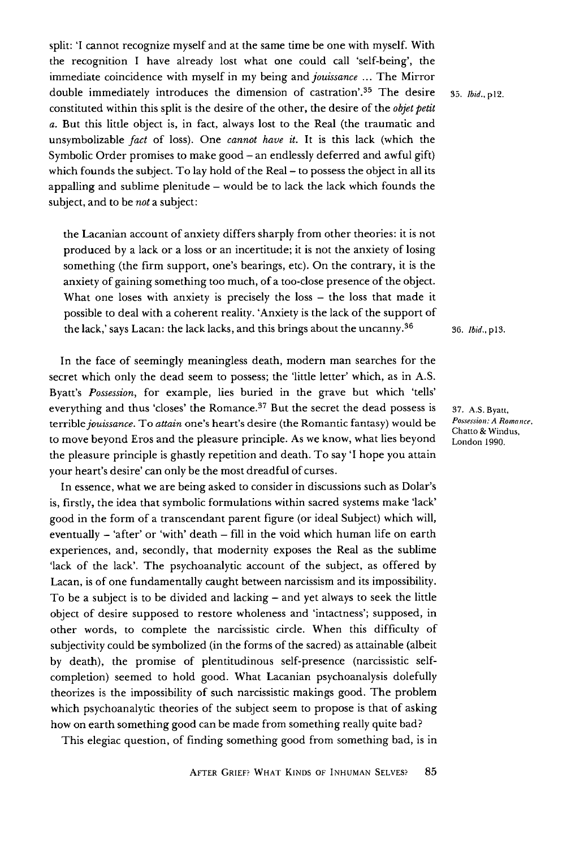split: 'I cannot recognize myself and at the same time be one with myself. With the recognition I have already lost what one could call 'self-being', the immediate coincidence with myself in my being and *jouissance* ... The Mirror double immediately introduces the dimension of castration'.35 The desire constituted within this split is the desire of the other, the desire of the **objet petit a.** But this little object is, in fact, always lost to the Real (the traumatic and unsymbolizable **fact** of loss). One **cannot have it.** It is this lack (which the Symbolic Order promises to make good – an endlessly deferred and awful gift) which founds the subject. To lay hold of the Real - to possess the object in all its appalling and sublime plenitude - would be to lack the lack which founds the subject, and to be **not**a subject:

the Lacanian account of anxiety differs sharply from other theories: it is not produced by a lack or a loss or an incertitude; it is not the anxiety of losing something (the firm support, one's bearings, etc). On the contrary, it is the anxiety of gaining something too much, of a too-close presence of the object. What one loses with anxiety is precisely the loss  $-$  the loss that made it possible to deal with a coherent reality. 'Anxiety is the lack of the support of the lack,' says Lacan: the lack lacks, and this brings about the uncanny. $36$ 

In the face of seemingly meaningless death, modern man searches for the secret which only the dead seem to possess; the 'little letter' which, as in A.S. Byatt's **Possession,** for example, lies buried in the grave but which 'tells' everything and thus 'closes' the Romance.<sup>37</sup> But the secret the dead possess is terrible jouissance. To attain one's heart's desire (the Romantic fantasy) would be to move beyond Eros and the pleasure principle. As we know, what lies beyond the pleasure principle is ghastly repetition and death. To say 'I hope you attain your heart's desire' can only be the most dreadful of curses.

In essence, what we are being asked to consider in discussions such as Dolar's is, firstly, the idea that symbolic formulations within sacred systems make 'lack' good in the form of a transcendant parent figure (or ideal Subject) which will, eventually - 'after' or 'with' death - fill in the void which human life on earth experiences, and, secondly, that modernity exposes the Real as the sublime 'lack of the lack'. The psychoanalytic account of the subject, as offered by Lacan, is of one fundamentally caught between narcissism and its impossibility. To be a subject is to be divided and lacking - and yet always to seek the little object of desire supposed to restore wholeness and 'intactness'; supposed, in other words, to complete the narcissistic circle. When this difficulty of subjectivity could be symbolized (in the forms of the sacred) as attainable (albeit by death), the promise of plentitudinous self-presence (narcissistic selfcompletion) seemed to hold good. What Lacanian psychoanalysis dolefully theorizes is the impossibility of such narcissistic makings good. The problem which psychoanalytic theories of the subject seem to propose is that of asking how on earth something good can be made from something really quite bad?

This elegiac question, of finding something good from something bad, is in

35. **Ibid.,p\2.**

36. **Ibid., plS.**

37. A.S.Byatt, **Possession: A Romance,** Chatto & Windus, London 1990.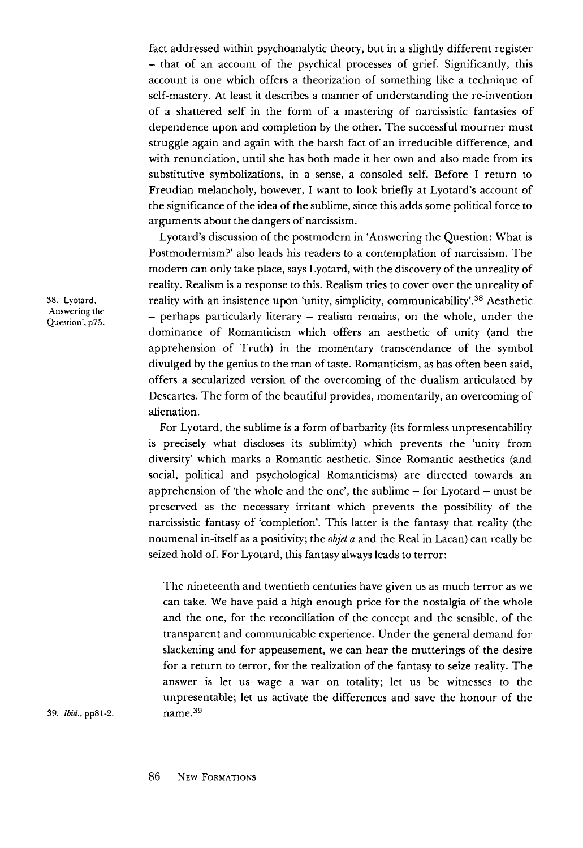fact addressed within psychoanalytic theory, but in a slightly different register - that of an account of the psychical processes of grief. Significantly, this account is one which offers a theorization of something like a technique of self-mastery. At least it describes a manner of understanding the re-invention of a shattered self in the form of a mastering of narcissistic fantasies of dependence upon and completion by the other. The successful mourner must struggle again and again with the harsh fact of an irreducible difference, and with renunciation, until she has both made it her own and also made from its substitutive symbolizations, in a sense, a consoled self. Before I return to Freudian melancholy, however, I want to look briefly at Lyotard's account of the significance of the idea of the sublime, since this adds some political force to arguments about the dangers of narcissism.

Lyotard's discussion of the postmodern in 'Answering the Question: What is Postmodernism?' also leads his readers to a contemplation of narcissism. The modern can only take place, says Lyotard, with the discovery of the unreality of reality. Realism is a response to this. Realism tries to cover over the unreality of reality with an insistence upon 'unity, simplicity, communicability'.<sup>38</sup> Aesthetic - perhaps particularly literary - realism remains, on the whole, under the dominance of Romanticism which offers an aesthetic of unity (and the apprehension of Truth) in the momentary transcendance of the symbol divulged by the genius to the man of taste. Romanticism, as has often been said, offers a secularized version of the overcoming of the dualism articulated by Descartes. The form of the beautiful provides, momentarily, an overcoming of alienation.

For Lyotard, the sublime is a form of barbarity (its formless unpresentability is precisely what discloses its sublimity) which prevents the 'unity from diversity' which marks a Romantic aesthetic. Since Romantic aesthetics (and social, political and psychological Romanticisms) are directed towards an apprehension of 'the whole and the one', the sublime  $-$  for Lyotard  $-$  must be preserved as the necessary irritant which prevents the possibility of the narcissistic fantasy of 'completion'. This latter is the fantasy that reality (the noumenal in-itself as a positivity; the **objet a** and the Real in Lacan) can really be seized hold of. For Lyotard, this fantasy always leads to terror:

The nineteenth and twentieth centuries have given us as much terror as we can take. We have paid a high enough price for the nostalgia of the whole and the one, for the reconciliation of the concept and the sensible, of the transparent and communicable experience. Under the general demand for slackening and for appeasement, we can hear the mutterings of the desire for a return to terror, for the realization of the fantasy to seize reality. The answer is let us wage a war on totality; let us be witnesses to the unpresentable; let us activate the differences and save the honour of the name.<sup>39</sup>

38. Lyotard, Answering the Question', p75.

39. **Ibid.,pp8\-2.**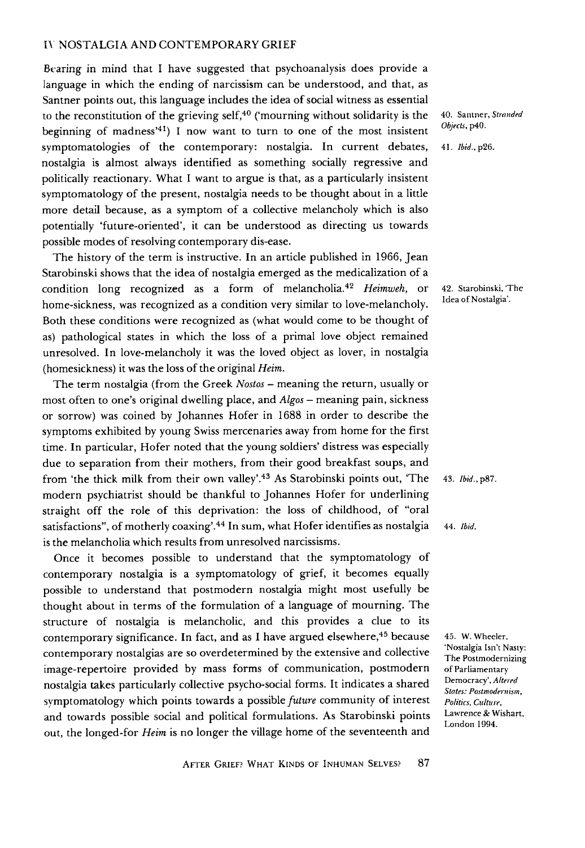#### IV NOSTALGIA AND CONTEMPORARY GRIEF

Bearing **in** mind that I have suggested that psychoanalysis does provide a language in which the ending of narcissism can be understood, and that, as Santner points out, this language includes the idea of social witness as essential to the reconstitution of the grieving self,  $40$  ('mourning without solidarity is the beginning of madness<sup>'41</sup>) I now want to turn to one of the most insistent symptomatologies of the contemporary: nostalgia. In current debates, nostalgia is almost always identified as something socially regressive and politically reactionary. What I want to argue is that, as a particularly insistent symptomatology of the present, nostalgia needs to be thought about in a little more detail because, as a symptom of a collective melancholy which is also potentially 'future-oriented', it can be understood as directing us towards possible modes of resolving contemporary dis-ease.

The history of the term is instructive. In an article published in 1966, Jean Starobinski shows that the idea of nostalgia emerged as the medicalization of a condition long recognized as a form of melancholia.42 **Heimweh,** or home-sickness, was recognized as a condition very similar to love-melancholy. Both these conditions were recognized as (what would come to be thought of as) pathological states in which the loss of a primal love object remained unresolved. In love-melancholy it was the loved object as lover, in nostalgia (homesickness) it was the loss of the original *Heim*.

The term nostalgia (from the Greek **Nostos -** meaning the return, usually or most often to one's original dwelling place, and **Algos -** meaning pain, sickness or sorrow) was coined by Johannes Hofer in 1688 in order to describe the symptoms exhibited by young Swiss mercenaries away from home for the first time. In particular, Hofer noted that the young soldiers' distress was especially due to separation from their mothers, from their good breakfast soups, and from 'the thick milk from their own valley'.<sup>43</sup> As Starobinski points out, 'The modern psychiatrist should be thankful to Johannes Hofer for underlining straight off the role of this deprivation: the loss of childhood, of "oral satisfactions", of motherly coaxing'.<sup>44</sup> In sum, what Hofer identifies as nostalgia is the melancholia which results from unresolved narcissisms.

Once it becomes possible to understand that the symptomatology of contemporary nostalgia is a symptomatology of grief, it becomes equally possible to understand that postmodern nostalgia might most usefully be thought about in terms of the formulation of a language of mourning. The structure of nostalgia is melancholic, and this provides a clue to its contemporary significance. In fact, and as I have argued elsewhere,<sup>45</sup> because contemporary nostalgias are so overdetermined by the extensiveand collective image-repertoire provided by mass forms of communication, postmodern nostalgiatakes particularly collective psycho-social forms. It indicates a shared symptomatology which points towards a possible **future** community of interest and towards possible social and political formulations. As Starobinski points out, the longed-for **Heim** is no longer the village home of the seventeenth and

40. Santner, **Stranded Objects,** p40.

41. **Ibid.,p26.**

42. Starobinski,'The Idea of Nostalgia'.

43. **Ibid.,** p87.

44. **Ibid.**

45. W.Wheeler, 'Nostalgia Isn't Nasty: The Postmodernizing of Parliamentary Democracy', **Altered States: Postmodernism, Politics, Culture,** Lawrence & Wishart, London 1994.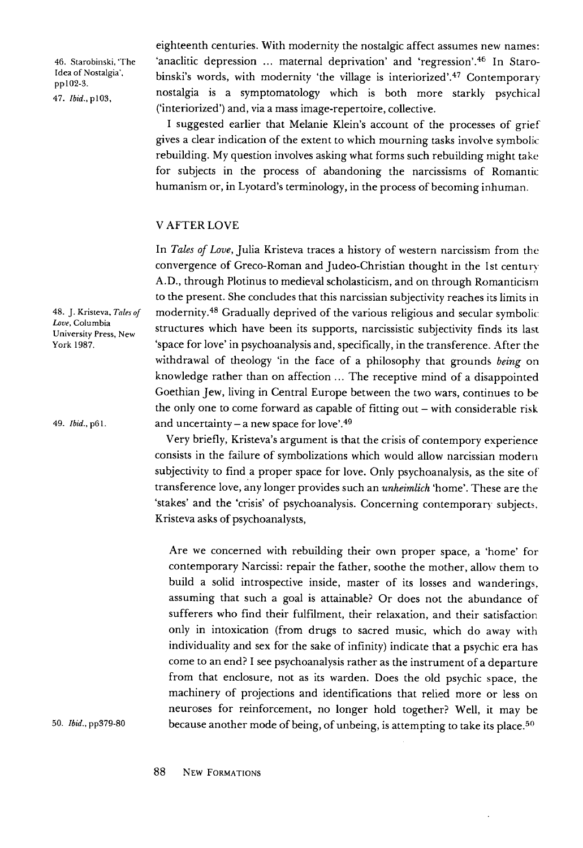46. Starobinski, 'The Idea of Nostalgia', ppl02-3.

47. **Ibid.,p\0S,**

eighteenth centuries. With modernity the nostalgic affect assumes new names: 'anaclitic depression ... maternal deprivation' and 'regression'.<sup>46</sup> In Starobinski's words, with modernity 'the village is interiorized'.<sup>47</sup> Contemporary nostalgia is a symptomatology which is both more starkly psychical ('interiorized') and, via a massimage-repertoire, collective.

I suggested earlier that Melanie Klein's account of the processes of grief gives a clear indication of the extent to which mourning tasks involve symbolic rebuilding. My question involves asking what forms such rebuilding might take for subjects in the process of abandoning the narcissisms of Romantic humanism or, in Lyotard's terminology, in the process of becoming inhuman.

## V AFTER LOVE

In **Tales of Love,** Julia Kristeva traces a history of western narcissism from the convergence of Greco-Roman and Judeo-Christian thought in the 1st century A.D., through Plotinus to medieval scholasticism, and on through Romanticism to the present. She concludes that this narcissian subjectivity reaches its limits in modernity.<sup>48</sup> Gradually deprived of the various religious and secular symbolic structures which have been its supports, narcissistic subjectivity finds its last 'space for love' in psychoanalysis and, specifically, in the transference. After the withdrawal of theology 'in the face of a philosophy that grounds **being** on knowledge rather than on affection ... The receptive mind of a disappointed Goethian Jew, living in Central Europe between the two wars, continues to be the only one to come forward as capable of fitting out  $-$  with considerable risk and uncertainty  $-$  a new space for love'.<sup>49</sup>

Very briefly, Kristeva's argument is that the crisis of contempory experience consists in the failure of symbolizations which would allow narcissian modern subjectivity to find a proper space for love. Only psychoanalysis, as the site of transference love, any longer provides such an **unheimlich** 'home'. These are the 'stakes' and the 'crisis' of psychoanalysis. Concerning contemporary subjects, Kristeva asks of psychoanalysts,

Are we concerned with rebuilding their own proper space, a 'home' for contemporary Narcissi: repair the father, soothe the mother, allow them to build a solid introspective inside, master of its losses and wanderings, assuming that such a goal is attainable? Or does not the abundance of sufferers who find their fulfilment, their relaxation, and their satisfaction only in intoxication (from drugs to sacred music, which do away with individuality and sex for the sakeof infinity) indicate that a psychic era has come to an end? I see psychoanalysis rather as the instrument of a departure from that enclosure, not as its warden. Does the old psychic space, the machinery of projections and identifications that relied more or less on neuroses for reinforcement, no longer hold together? Well, it may be because another mode of being, of unbeing, is attempting to take its place.<sup>50</sup>

50. **Ibid.,** pp379-80

88 New Formations

48. J. Kristeva, **Tales of Love,** Columbia University Press, New York 1987.

49. **Ibid.,p6l.**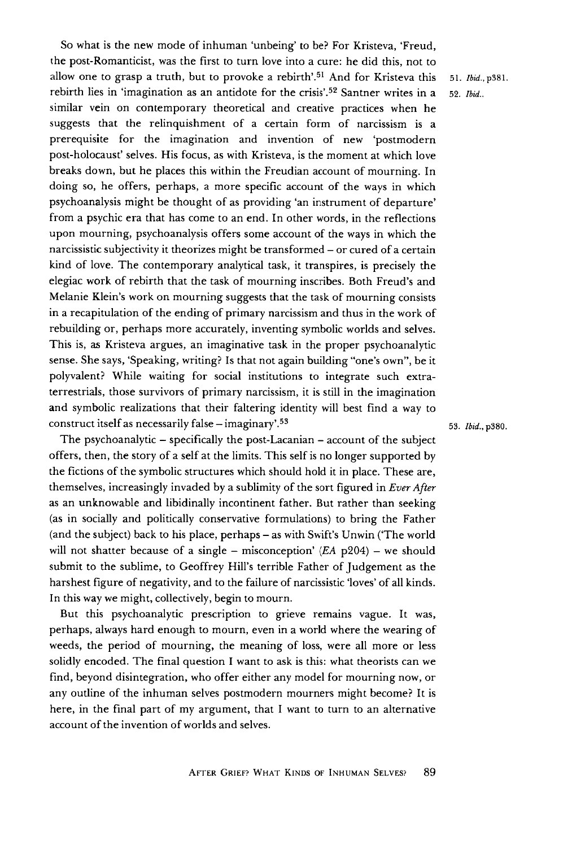So what is the new mode of inhuman 'unbeing' to be? For Kristeva, 'Freud, the post-Romanticist, was the first to turn love into a cure: he did this, not to allow one to grasp a truth, but to provoke a rebirth'.<sup>51</sup> And for Kristeva this 51. *Ibid.*, p<sup>381</sup>. rebirth lies in 'imagination as an antidote for the crisis'.52 Santner writes in a 52. **Ibid..** similar vein on contemporary theoretical and creative practices when he suggests that the relinquishment of a certain form of narcissism is a prerequisite for the imagination and invention of new 'postmodern post-holocaust' selves. His focus, as with Kristeva, is the moment at which love breaks down, but he places this within the Freudian account of mourning. In doing so, he offers, perhaps, a more specific account of the ways in which psychoanalysis might be thought of as providing 'an instrument of departure' from a psychic era that has come to an end. In other words, in the reflections upon mourning, psychoanalysis offers some account of the ways in which the narcissistic subjectivity it theorizes might be transformed - or cured of a certain kind of love. The contemporary analytical task, it transpires, is precisely the elegiac work of rebirth that the task of mourning inscribes. Both Freud's and Melanie Klein's work on mourning suggests that the task of mourning consists in a recapitulation of the ending of primary narcissism and thus in the work of rebuilding or, perhaps more accurately, inventing symbolic worlds and selves. This is, as Kristeva argues, an imaginative task in the proper psychoanalytic sense. She says, 'Speaking, writing? Is that not again building "one's own", be it polyvalent? While waiting for social institutions to integrate such extra terrestrials, those survivors of primary narcissism, it is still in the imagination and symbolic realizations that their faltering identity will best find a way to construct itself as necessarily false  $-$  imaginary'.<sup>53</sup> 53. *Ibid.*, p380.

The psychoanalytic  $-$  specifically the post-Lacanian  $-$  account of the subject offers, then, the story of a self at the limits. This self is no longer supported by the fictions of the symbolic structures which should hold it in place. These are, themselves, increasingly invaded by a sublimity of the sort figured in **EverAfter** as an unknowable and libidinally incontinent father. But rather than seeking (as in socially and politically conservative formulations) to bring the Father (and the subject) back to his place, perhaps - as with Swift's Unwin ('The world will not shatter because of a single  $-$  misconception'  $(EA \ p204) -$  we should submit to the sublime, to Geoffrey Hill's terrible Father of Judgement as the harshest figure of negativity, and to the failure of narcissistic 'loves' of all kinds. In this way we might, collectively, begin to mourn.

But this psychoanalytic prescription to grieve remains vague. It was, perhaps, always hard enough to mourn, even in a world where the wearing of weeds, the period of mourning, the meaning of loss, were all more or less solidly encoded. The final question I want to ask is this: what theorists can we find, beyond disintegration, who offer either any model for mourning now, or any outline of the inhuman selves postmodern mourners might become? It is here, in the final part of my argument, that I want to turn to an alternative account of the invention of worlds and selves.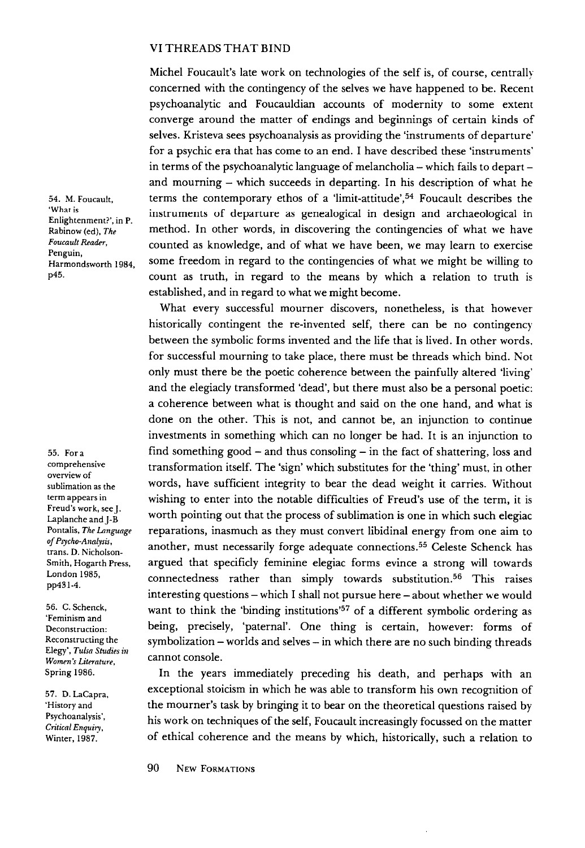Michel Foucault's late work on technologies of the self is, of course, centrally concerned with the contingency of the selves we have happened to be. Recent psychoanalytic and Foucauldian accounts of modernity to some extent converge around the matter of endings and beginnings of certain kinds of selves. Kristeva sees psychoanalysisas providing the 'instruments of departure' for a psychic era that has come to an end. I have described these 'instruments' in terms of the psychoanalytic language of melancholia  $-$  which fails to depart  $$ and mourning - which succeeds in departing. In his description of what he terms the contemporary ethos of a 'limit-attitude',<sup>54</sup> Foucault describes the instruments of departure as genealogical in design and archaeological in method. In other words, in discovering the contingencies of what we have counted as knowledge, and of what we have been, we may learn to exercise some freedom in regard to the contingencies of what we might be willing to count as truth, in regard to the means by which a relation to truth is established, and in regard to what we might become.

What every successful mourner discovers, nonetheless, is that however historically contingent the re-invented self, there can be no contingency between the symbolic forms invented and the life that is lived. In other words, for successful mourning to take place, there must be threads which bind. Not only must there be the poetic coherence between the painfully altered 'living' and the elegiacly transformed 'dead', but there must also be a personal poetic; a coherence between what is thought and said on the one hand, and what is done on the other. This is not, and cannot be, an injunction to continue investments in something which can no longer be had. It is an injunction to find something good - and thus consoling - in the fact of shattering, loss and transformation itself. The 'sign' which substitutes for the 'thing' must, in other words, have sufficient integrity to bear the dead weight it carries. Without wishing to enter into the notable difficulties of Freud's use of the term, it is worth pointing out that the process of sublimation is one in which such elegiac reparations, inasmuch as they must convert libidinal energy from one aim to another, must necessarily forge adequate connections.<sup>55</sup> Celeste Schenck has argued that specificly feminine elegiac forms evince a strong will towards connectedness rather than simply towards substitution.56 This raises interesting questions - which I shall not pursue here - about whether we would want to think the 'binding institutions'<sup>57</sup> of a different symbolic ordering as being, precisely, 'paternal'. One thing is certain, however: forms of  $symbolization-$  worlds and selves  $-$  in which there are no such binding threads cannot console.

In the years immediately preceding his death, and perhaps with an exceptional stoicism in which he was able to transform his own recognition of the mourner's task by bringing it to bear on the theoretical questions raised by his work on techniques of the self, Foucault increasingly focussed on the matter of ethical coherence and the means by which, historically, such a relation to

54. M. Foucault, 'What is Enlightenment?', in P. Rabinow (ed), **The Foucault Reader,** Penguin, Harmondsworth 1984, p45.

55. For a comprehensive overview of sublimation as the term appears in Freud's work, see J. Laplanche and J-B Pontalis, **The Language ofPsycho-Analysis,** trans. D. Nicholson-Smith, Hogarth Press, London 1985, pp431-4.

56. C.Schenck, 'Feminism and Deconstruction: Reconstructing the Elegy', Tulsa Studies in **Women's Literature,** Spring 1986.

57. D. LaCapra, 'History and Psychoanalysis', **CriticalEnquiry,** Winter, 1987.'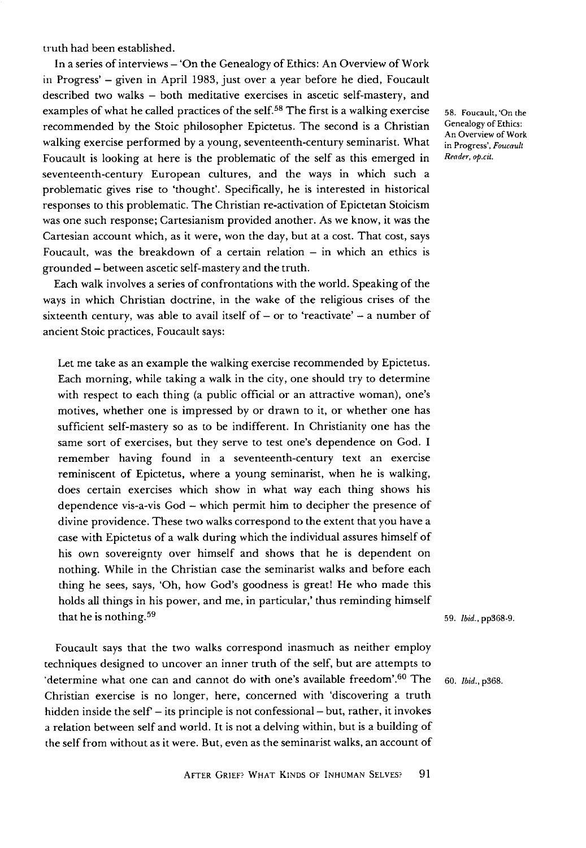truth had been established.

In a series of interviews - 'On the Genealogy of Ethics: An Overview of Work in Progress' —given in April 1983, just over a year before he died, Foucault described two walks - both meditative exercises in ascetic self-mastery, and examples of what he called practices of the self.<sup>58</sup> The first is a walking exercise recommended by the Stoic philosopher Epictetus. The second is a Christian walking exercise performed by a young, seventeenth-century seminarist. What Foucault is looking at here is the problematic of the self as this emerged in seventeenth-century European cultures, and the ways in which such a problematic gives rise to 'thought'. Specifically, he is interested in historical responses to this problematic. The Christian re-activation of Epictetan Stoicism was one such response; Cartesianism provided another. As we know, it was the Cartesian account which, as it were, won the day, but at a cost. That cost, says Foucault, was the breakdown of a certain relation  $-$  in which an ethics is grounded - between ascetic self-mastery and the truth.

Each walk involves a series of confrontations with the world. Speaking of the ways in which Christian doctrine, in the wake of the religious crises of the sixteenth century, was able to avail itself of  $-$  or to 'reactivate'  $-$  a number of ancient Stoic practices, Foucault says:

Let me take as an example the walking exercise recommended by Epictetus. Each morning, while taking a walk in the city, one should try to determine with respect to each thing (a public official or an attractive woman), one's motives, whether one is impressed by or drawn to it, or whether one has sufficient self-mastery so as to be indifferent. In Christianity one has the same sort of exercises, but they serve to test one's dependence on God. I remember having found in a seventeenth-century text an exercise reminiscent of Epictetus, where a young seminarist, when he is walking, does certain exercises which show in what way each thing shows his dependence vis-a-vis God - which permit him to decipher the presence of divine providence. These two walks correspond to the extent that you have a case with Epictetus of a walk during which the individual assures himself of his own sovereignty over himself and shows that he is dependent on nothing. While in the Christian case the seminarist walks and before each thing he sees, says, 'Oh, how God's goodness is great! He who made this holds all things in his power, and me, in particular,' thus reminding himself that he is nothing.59

Foucault says that the two walks correspond inasmuch as neither employ techniques designed to uncover an inner truth of the self, but are attempts to 'determine what one can and cannot do with one's available freedom'.60 The Christian exercise is no longer, here, concerned with 'discovering a truth hidden inside the self  $-$  its principle is not confessional  $-$  but, rather, it invokes a relation between self and world. It is not a delving within, but is a building of the self from without as it were. But, even as the seminarist walks, an account of

58. Foucault, 'On the Genealogy of Ethics: An Overview of Work in Progress', **Foucault Reader, op.cit.**

59. Ibid., pp368-9.

60. **Ibid.,p36&.**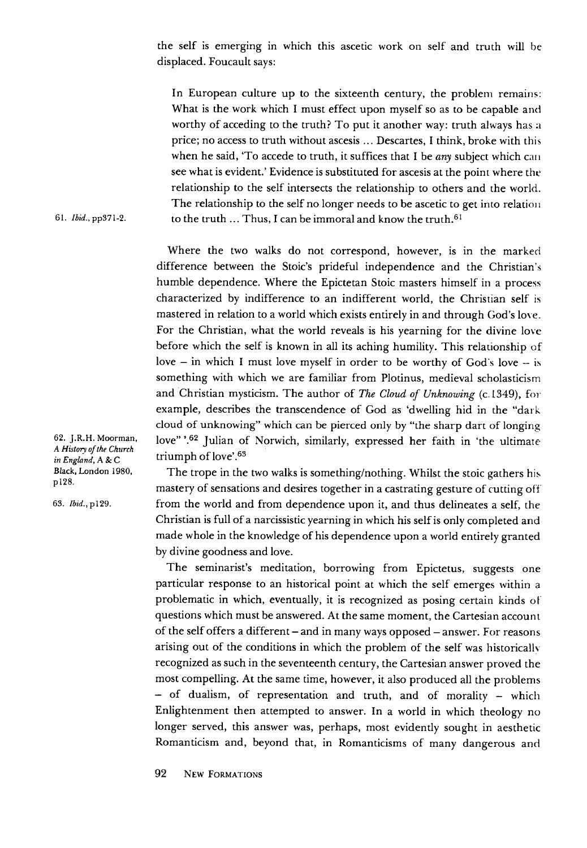the self is emerging in which this ascetic work on self and truth will be displaced. Foucault says:

In European culture up to the sixteenth century, the problem remains: What is the work which I must effect upon myself so as to be capable and worthy of acceding to the truth? To put it another way: truth always has a price; no access to truth without ascesis ... Descartes, I think, broke with this when he said, 'To accede to truth, it suffices that I be **any** subject which can see what is evident.' Evidence is substituted for ascesisat the point where the relationship to the self intersects the relationship to others and the world. The relationship to the self no longer needs to be ascetic to get into relation to the truth ... Thus, I can be immoral and know the truth.<sup>61</sup>

Where the two walks do not correspond, however, is in the marked difference between the Stoic's prideful independence and the Christian's humble dependence. Where the Epictetan Stoic masters himself in a process characterized by indifference to an indifferent world, the Christian self is mastered in relation to a world which exists entirely in and through God's love. For the Christian, what the world reveals is his yearning for the divine love before which the self is known in all its aching humility. This relationship of love  $-$  in which I must love myself in order to be worthy of God's love  $-$  is something with which we are familiar from Plotinus, medieval scholasticism and Christian mysticism. The author of **The Cloud of Unknowing** (c.1349), for example, describes the transcendence of God as 'dwelling hid in the "dark cloud of unknowing" which can be pierced only by "the sharp dart of longing love"".<sup>62</sup> Julian of Norwich, similarly, expressed her faith in 'the ultimate triumph of love'.63

The trope in the two walks is something/nothing. Whilst the stoic gathers his mastery of sensations and desires together in a castrating gesture of cutting off from the world and from dependence upon it, and thus delineates a self, the Christian is full of a narcissistic yearning in which his self is only completed and made whole in the knowledge of his dependence upon a world entirely granted by divine goodness and love.

The seminarist's meditation, borrowing from Epictetus, suggests one particular response to an historical point at which the self emerges within a problematic in which, eventually, it is recognized as posing certain kinds of questions which must be answered. At the same moment, the Cartesian account of the self offers a different - and in many ways opposed - answer. For reasons arising out of the conditions in which the problem of the self was historically recognized as such in the seventeenth century, the Cartesian answer proved the most compelling. At the same time, however, it also produced all the problems - of dualism, of representation and truth, and of morality - which Enlightenment then attempted to answer. In a world in which theology no longer served, this answer was, perhaps, most evidently sought in aesthetic Romanticism and, beyond that, in Romanticisms of many dangerous and

61. **Ibid.,ppS7\-2.**

62. J.R.H. Moorman, **A History of theChurch in England,**A **8cC** Black, London 1980, pl28.

63. **Ibid.,p\29.**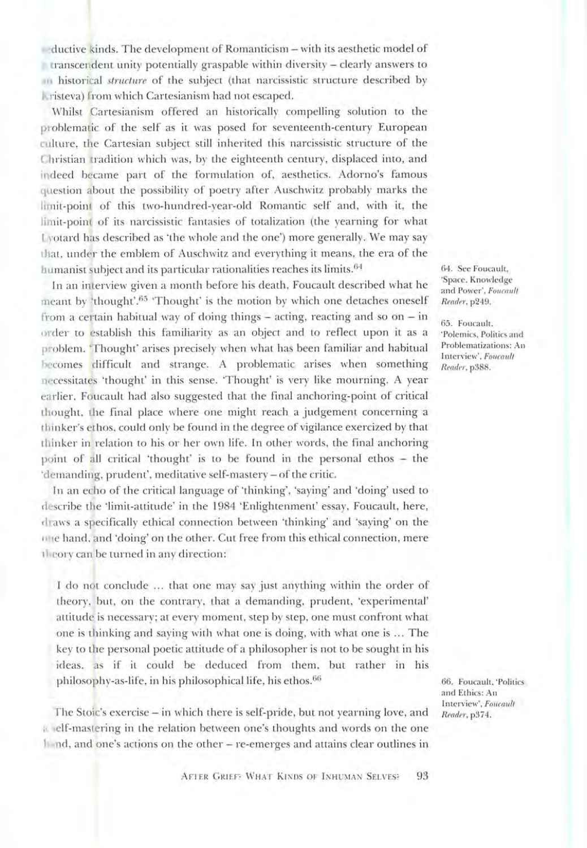ductive kinds. The development of Romanticism - with its aesthetic model of . transcendent unity potentially graspable within diversity - clearly answers to in historical *structure* of the subject (that narcissistic structure described by ]-. risteva) from which Cartesianism had not escaped.

Whilst Cartesianism offered an historically compelling solution to the problematic of the self as it was posed for seventeenth-century European culture, the Cartesian subject still inherited this narcissistic structure of the Christian tradition which was, by the eighteenth century, displaced into, and indeed became part of the formulation of, aesthetics. Adorno's famous question about the possibility of poetry after Auschwitz probably marks the limit-point of this two-hundred-year-old Romantic self and, with it, the limit-point of its narcissistic fantasies of totalization (the yearning for what Lyotard has described as 'the whole and the one') more generally. We may say that, under the emblem of Auschwitz and everything it means, the era of the humanist subject and its particular rationalities reaches its limits.<sup>64</sup>

In an interview given a month before his death, Foucault described what he meant by 'thought'.<sup>65</sup> 'Thought' is the motion by which one detaches oneself from a certain habitual way of doing things - acting, reacting and so on - in order to establish this familiarity as an object and to reflect upon it as a problem. 'Thought' arises precisely when what has been familiar and habitual becomes difficult and strange. A problematic arises when something necessitates 'thought' in this sense. 'Thought' is very like mourning. A year earlier, Foucault had also suggested that the final anchoring-point of critical thought, the final place where one might reach a judgement concerning a thinker's ethos, could only be found in the degree of vigilance exercized by that thinker in relation to his or her own life. In other words, the final anchoring point of all critical 'thought' is to be found in the personal ethos - the 'demanding, prudent', meditative self-mastery —of the critic.

In an echo of the critical language of'thinking', 'saying' and 'doing' used to describe the 'limit-attitude' in the 1984 'Enlightenment' essay, Foucault, here, draws a specifically ethical connection between 'thinking' and 'saying' on the one hand, and 'doing' on the other. Cut free from this ethical connection, mere theory can be turned in any direction:

I do not conclude ... that one may say just anything within the order of theory, but, on the contrary, that a demanding, prudent, 'experimental' attitude is necessary; at every moment, step by step, one must confront what one is thinking and saying with what one is doing, with what one is ... The key to the personal poetic attitude of a philosopher is not to be sought in his ideas, as if it could be deduced from them, but rather in his philosophy-as-life, in his philosophical life, his ethos.<sup>66</sup> 66. Foucault, 'Politics'

The Stoic's exercise – in which there is self-pride, but not yearning love, and *Reader*, p374.  $+$  elf-mastering in the relation between one's thoughts and words on the one nd, and one's actions on the other - re-emerges and attains clear outlines in

64. See Foucault, 'Space, Knowledge and Power', Foueault **Reader,** p249.

65. Foucault, 'Polemics, Politics and Problematizations: An Interview', **Foucault Rentier.** p388.

and Ethics: An Interview', **Foucault**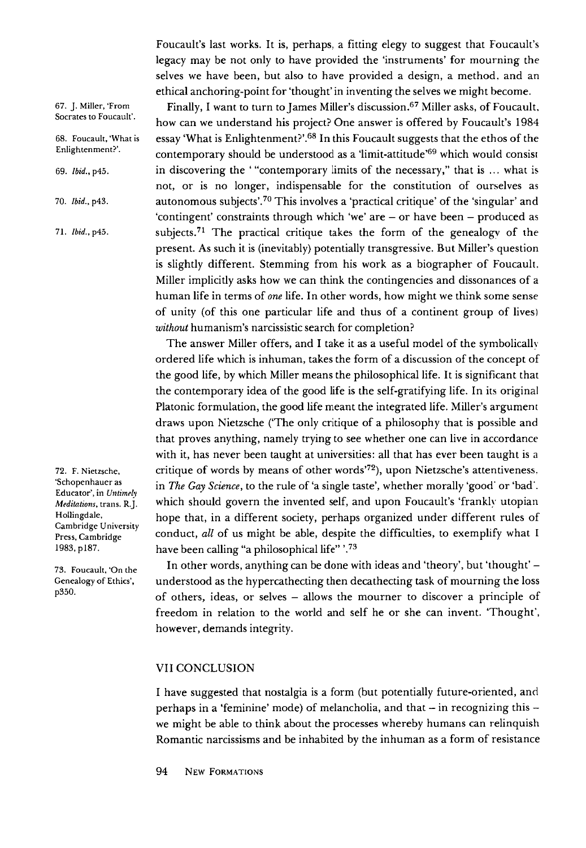Foucault's last works. It is, perhaps, a fitting elegy to suggest that Foucault's legacy may be not only to have provided the 'instruments' for mourning the selves we have been, but also to have provided a design, a method, and an ethical anchoring-point for 'thought' in inventing the selves we might become.

Finally, I want to turn to James Miller's discussion.<sup>67</sup> Miller asks, of Foucault, how can we understand his project? One answer is offered by Foucault's 1984 essay'What is Enlightenment?'.68 In this Foucault suggests that the ethos of the contemporary should be understood as a 'limit-attitude'69 which would consist in discovering the ' "contemporary limits of the necessary," that is ... what is not, or is no longer, indispensable for the constitution of ourselves as autonomous subjects'.70 This involvesa 'practical critique' of the 'singular' and 'contingent' constraints through which 'we' are - or have been - produced as subjects.71 The practical critique takes the form of the genealogy of the present. As such it is (inevitably) potentially transgressive. But Miller's question is slightly different. Stemming from his work as a biographer of Foucault. Miller implicitly asks how we can think the contingencies and dissonances of a human life in terms of **one** life. In other words, how might we think some sense of unity (of this one particular life and thus of a continent group of lives) **without** humanism's narcissistic search for completion?

The answer Miller offers, and I take it as a useful model of the symbolically ordered life which is inhuman, takes the form of a discussion of the concept of the good life, by which Miller means the philosophical life. It is significant that the contemporary idea of the good life is the self-gratifying life. In its original Platonic formulation, the good life meant the integrated life. Miller's argument draws upon Nietzsche ('The only critique of a philosophy that is possible and that proves anything, namely trying to see whether one can live in accordance with it, has never been taught at universities: all that has ever been taught is a critique of words by means of other words'72), upon Nietzsche's attentiveness. in **The Gay Science,** to the rule of 'a single taste', whether morally 'good\* or 'bad\*, which should govern the invented self, and upon Foucault's 'frankly utopian hope that, in a different society, perhaps organized under different rules of conduct, **all** of us might be able, despite the difficulties, to exemplify what I have been calling "a philosophical life" '.<sup>73</sup>

In other words, anything can be done with ideas and 'theory', but 'thought' – understood as the hypercathecting then decathecting task of mourning the loss of others, ideas, or selves - allows the mourner to discover a principle of freedom in relation to the world and self he or she can invent. 'Thought', however, demands integrity.

#### VII CONCLUSION

I have suggested that nostalgia is a form (but potentially future-oriented, and perhaps in a 'feminine' mode) of melancholia, and that  $-$  in recognizing this  $$ we might be able to think about the processes whereby humans can relinquish Romantic narcissisms and be inhabited by the inhuman as a form of resistance

67. J. Miller, 'From Socrates to Foucault'.

68. Foucault,'What is Enlightenment?'.

69. **Ibid.,**p45.

70. **Ibid.,**p43.

71. **Ibid,, p45.**

72. F.Nietzsche, 'Schopenhauer as Educator', in **Untimely Meditations,** trans. R.J. Hollingdale, Cambridge University Press, Cambridge 1983, pl87.

73. Foucault,'On the Genealogy of Ethics', p350.